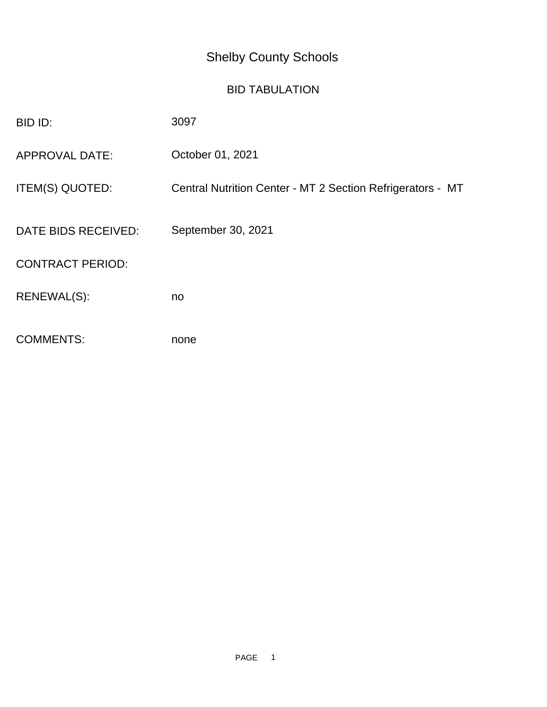## Shelby County Schools

## BID TABULATION

| BID ID:                 | 3097                                                       |
|-------------------------|------------------------------------------------------------|
| <b>APPROVAL DATE:</b>   | October 01, 2021                                           |
| ITEM(S) QUOTED:         | Central Nutrition Center - MT 2 Section Refrigerators - MT |
| DATE BIDS RECEIVED:     | September 30, 2021                                         |
| <b>CONTRACT PERIOD:</b> |                                                            |
| RENEWAL(S):             | no                                                         |
| <b>COMMENTS:</b>        | none                                                       |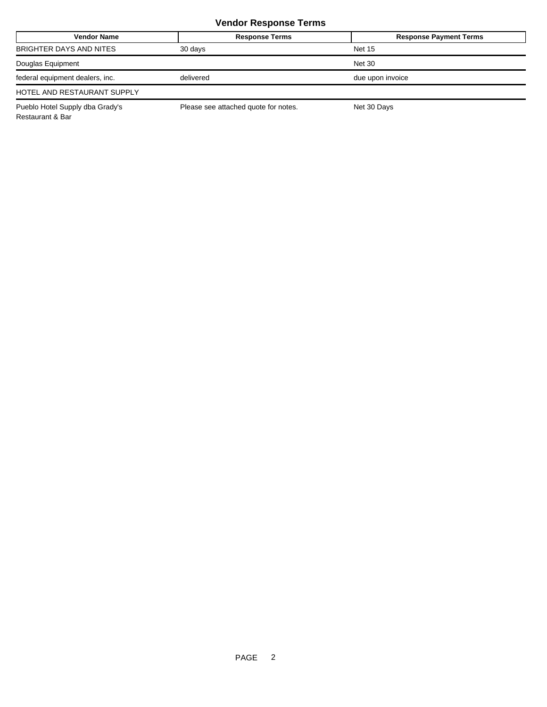## **Vendor Response Terms**

| <b>Vendor Name</b>              | <b>Response Terms</b>                | <b>Response Payment Terms</b> |
|---------------------------------|--------------------------------------|-------------------------------|
| BRIGHTER DAYS AND NITES         | 30 days                              | <b>Net 15</b>                 |
| Douglas Equipment               |                                      | <b>Net 30</b>                 |
| federal equipment dealers, inc. | delivered                            | due upon invoice              |
| HOTEL AND RESTAURANT SUPPLY     |                                      |                               |
| Pueblo Hotel Supply dba Grady's | Please see attached quote for notes. | Net 30 Days                   |

Restaurant & Bar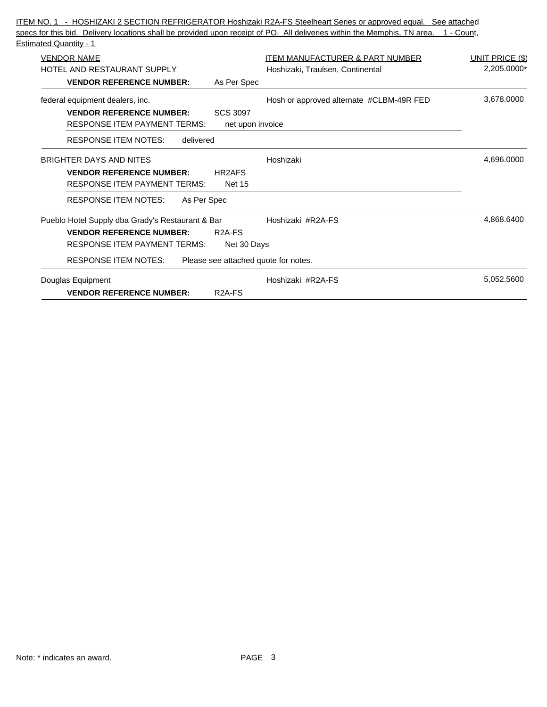| ITEM NO. 1 - HOSHIZAKI 2 SECTION REFRIGERATOR Hoshizaki R2A-FS Steelheart Series or approved equal. See attached                    |                                            |                 |
|-------------------------------------------------------------------------------------------------------------------------------------|--------------------------------------------|-----------------|
| specs for this bid. Delivery locations shall be provided upon receipt of PO. All deliveries within the Memphis, TN area. 1 - Count, |                                            |                 |
| <b>Estimated Quantity - 1</b>                                                                                                       |                                            |                 |
| <b>VENDOR NAME</b>                                                                                                                  | <b>ITEM MANUFACTURER &amp; PART NUMBER</b> | UNIT PRICE (\$) |
| HOTEL AND RESTAURANT SUPPLY                                                                                                         | Hoshizaki, Traulsen, Continental           | 2,205.0000*     |
| <b>VENDOR REFERENCE NUMBER:</b><br>As Per Spec                                                                                      |                                            |                 |
| federal equipment dealers, inc.                                                                                                     | Hosh or approved alternate #CLBM-49R FED   | 3,678.0000      |
| <b>VENDOR REFERENCE NUMBER:</b><br><b>SCS 3097</b>                                                                                  |                                            |                 |
| <b>RESPONSE ITEM PAYMENT TERMS:</b><br>net upon invoice                                                                             |                                            |                 |
| <b>RESPONSE ITEM NOTES:</b><br>delivered                                                                                            |                                            |                 |
| <b>BRIGHTER DAYS AND NITES</b>                                                                                                      | Hoshizaki                                  | 4,696.0000      |
| <b>VENDOR REFERENCE NUMBER:</b><br>HR2AFS                                                                                           |                                            |                 |
| <b>RESPONSE ITEM PAYMENT TERMS:</b><br><b>Net 15</b>                                                                                |                                            |                 |
| <b>RESPONSE ITEM NOTES:</b><br>As Per Spec                                                                                          |                                            |                 |
| Pueblo Hotel Supply dba Grady's Restaurant & Bar                                                                                    | Hoshizaki #R2A-FS                          | 4,868.6400      |
| <b>VENDOR REFERENCE NUMBER:</b><br>R <sub>2</sub> A-F <sub>S</sub>                                                                  |                                            |                 |
| <b>RESPONSE ITEM PAYMENT TERMS:</b><br>Net 30 Days                                                                                  |                                            |                 |
| <b>RESPONSE ITEM NOTES:</b><br>Please see attached quote for notes.                                                                 |                                            |                 |
| Douglas Equipment                                                                                                                   | Hoshizaki #R2A-FS                          | 5,052.5600      |
| <b>VENDOR REFERENCE NUMBER:</b><br>R <sub>2</sub> A-F <sub>S</sub>                                                                  |                                            |                 |
|                                                                                                                                     |                                            |                 |